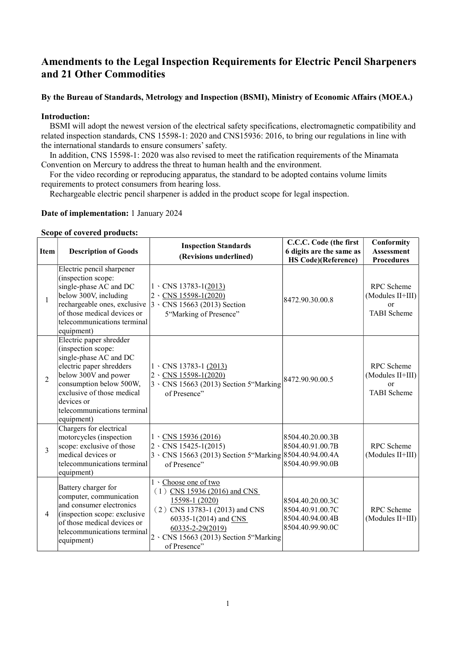# Amendments to the Legal Inspection Requirements for Electric Pencil Sharpeners and 21 Other Commodities

# By the Bureau of Standards, Metrology and Inspection (BSMI), Ministry of Economic Affairs (MOEA.)

## Introduction:

BSMI will adopt the newest version of the electrical safety specifications, electromagnetic compatibility and related inspection standards, CNS 15598-1: 2020 and CNS15936: 2016, to bring our regulations in line with the international standards to ensure consumers' safety.

In addition, CNS 15598-1: 2020 was also revised to meet the ratification requirements of the Minamata Convention on Mercury to address the threat to human health and the environment.

 For the video recording or reproducing apparatus, the standard to be adopted contains volume limits requirements to protect consumers from hearing loss.

Rechargeable electric pencil sharpener is added in the product scope for legal inspection.

## Date of implementation: 1 January 2024

#### Scope of covered products:

| Item           | <b>Description of Goods</b>                                                                                                                                                                                                                     | <b>Inspection Standards</b><br>(Revisions underlined)                                                                                                                                                                | C.C.C. Code (the first<br>6 digits are the same as<br><b>HS Code)</b> (Reference) | Conformity<br><b>Assessment</b><br><b>Procedures</b>                  |
|----------------|-------------------------------------------------------------------------------------------------------------------------------------------------------------------------------------------------------------------------------------------------|----------------------------------------------------------------------------------------------------------------------------------------------------------------------------------------------------------------------|-----------------------------------------------------------------------------------|-----------------------------------------------------------------------|
| $\mathbf{1}$   | Electric pencil sharpener<br>(inspection scope:<br>single-phase AC and DC<br>below 300V, including<br>of those medical devices or<br>telecommunications terminal<br>equipment)                                                                  | $1 \cdot$ CNS 13783-1(2013)<br>$2 \cdot$ CNS 15598-1(2020)<br>rechargeable ones, exclusive 3 · CNS 15663 (2013) Section<br>5"Marking of Presence"                                                                    | 8472.90.30.00.8                                                                   | RPC Scheme<br>(Modules II+III)<br><b>or</b><br><b>TABI</b> Scheme     |
| $\overline{2}$ | Electric paper shredder<br>(inspection scope:<br>single-phase AC and DC<br>electric paper shredders<br>below 300V and power<br>consumption below 500W,<br>exclusive of those medical<br>devices or<br>telecommunications terminal<br>equipment) | $1 \cdot$ CNS 13783-1 (2013)<br>$2 \cdot$ CNS 15598-1(2020)<br>3 \ CNS 15663 (2013) Section 5 "Marking<br>of Presence"                                                                                               | 8472.90.90.00.5                                                                   | RPC Scheme<br>(Modules II+III)<br><sub>or</sub><br><b>TABI</b> Scheme |
| $\overline{3}$ | Chargers for electrical<br>motorcycles (inspection<br>scope: exclusive of those<br>medical devices or<br>telecommunications terminal<br>equipment)                                                                                              | $1 \cdot$ CNS 15936 (2016)<br>$2 \cdot$ CNS 15425-1(2015)<br>3 \CNS 15663 (2013) Section 5"Marking 8504.40.94.00.4A<br>of Presence"                                                                                  | 8504.40.20.00.3B<br>8504.40.91.00.7B<br>8504.40.99.90.0B                          | <b>RPC</b> Scheme<br>(Modules II+III)                                 |
| $\overline{4}$ | Battery charger for<br>computer, communication<br>and consumer electronics<br>(inspection scope: exclusive<br>of those medical devices or<br>telecommunications terminal<br>equipment)                                                          | 1 · Choose one of two<br>$(1)$ CNS 15936 (2016) and CNS<br>15598-1 (2020)<br>$(2)$ CNS 13783-1 (2013) and CNS<br>60335-1(2014) and CNS<br>60335-2-29(2019)<br>2 · CNS 15663 (2013) Section 5"Marking<br>of Presence" | 8504.40.20.00.3C<br>8504.40.91.00.7C<br>8504.40.94.00.4B<br>8504.40.99.90.0C      | RPC Scheme<br>$(Modules II+III)$                                      |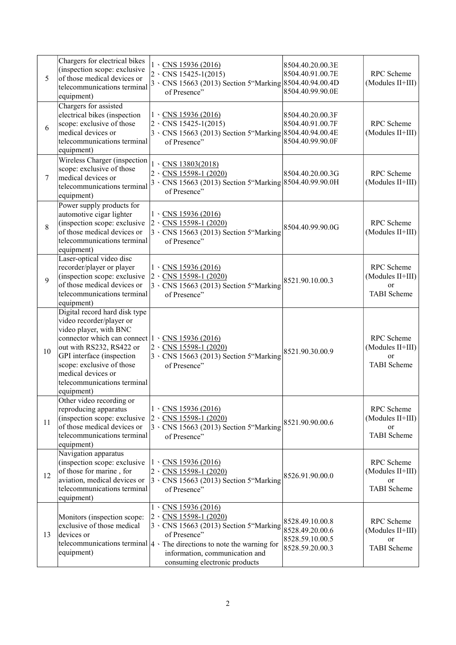| 5  | Chargers for electrical bikes<br>(inspection scope: exclusive<br>of those medical devices or<br>telecommunications terminal<br>equipment)                                                                                                                                   | $1 \cdot$ CNS 15936 (2016)<br>$2 \cdot$ CNS 15425-1(2015)<br>3 \CNS 15663 (2013) Section 5"Marking 8504.40.94.00.4D<br>of Presence"                                                                                                                                      | 8504.40.20.00.3E<br>8504.40.91.00.7E<br>8504.40.99.90.0E                 | RPC Scheme<br>(Modules II+III)                                        |
|----|-----------------------------------------------------------------------------------------------------------------------------------------------------------------------------------------------------------------------------------------------------------------------------|--------------------------------------------------------------------------------------------------------------------------------------------------------------------------------------------------------------------------------------------------------------------------|--------------------------------------------------------------------------|-----------------------------------------------------------------------|
| 6  | Chargers for assisted<br>electrical bikes (inspection<br>scope: exclusive of those<br>medical devices or<br>telecommunications terminal<br>equipment)                                                                                                                       | $1 \cdot$ CNS 15936 (2016)<br>$2 \cdot$ CNS 15425-1(2015)<br>3 \CNS 15663 (2013) Section 5"Marking 8504.40.94.00.4E<br>of Presence"                                                                                                                                      | 8504.40.20.00.3F<br>8504.40.91.00.7F<br>8504.40.99.90.0F                 | RPC Scheme<br>(Modules II+III)                                        |
| 7  | Wireless Charger (inspection<br>scope: exclusive of those<br>medical devices or<br>telecommunications terminal<br>equipment)                                                                                                                                                | $1 \cdot$ CNS 13803(2018)<br>$2 \cdot$ CNS 15598-1 (2020)<br>3 \ CNS 15663 (2013) Section 5"Marking 8504.40.99.90.0H<br>of Presence"                                                                                                                                     | 8504.40.20.00.3G                                                         | RPC Scheme<br>(Modules II+III)                                        |
| 8  | Power supply products for<br>automotive cigar lighter<br>(inspection scope: exclusive<br>of those medical devices or<br>telecommunications terminal<br>equipment)                                                                                                           | $1 \cdot$ CNS 15936 (2016)<br>$2 \cdot$ CNS 15598-1 (2020)<br>3 \CNS 15663 (2013) Section 5 "Marking<br>of Presence"                                                                                                                                                     | 8504.40.99.90.0G                                                         | RPC Scheme<br>(Modules II+III)                                        |
| 9  | Laser-optical video disc<br>recorder/player or player<br>(inspection scope: exclusive<br>of those medical devices or<br>telecommunications terminal<br>equipment)                                                                                                           | $1 \cdot$ CNS 15936 (2016)<br>$2 \cdot$ CNS 15598-1 (2020)<br>3 \ CNS 15663 (2013) Section 5"Marking<br>of Presence"                                                                                                                                                     | 8521.90.10.00.3                                                          | RPC Scheme<br>(Modules II+III)<br><sub>or</sub><br><b>TABI</b> Scheme |
| 10 | Digital record hard disk type<br>video recorder/player or<br>video player, with BNC<br>connector which can connect<br>out with RS232, RS422 or<br>GPI interface (inspection<br>scope: exclusive of those<br>medical devices or<br>telecommunications terminal<br>equipment) | $1 \cdot$ CNS 15936 (2016)<br>$2 \cdot$ CNS 15598-1 (2020)<br>3 \ CNS 15663 (2013) Section 5"Marking<br>of Presence"                                                                                                                                                     | 8521.90.30.00.9                                                          | RPC Scheme<br>(Modules II+III)<br>or<br><b>TABI</b> Scheme            |
| 11 | Other video recording or<br>reproducing apparatus<br>(inspection scope: exclusive<br>of those medical devices or<br>telecommunications terminal<br>equipment)                                                                                                               | $1 \cdot$ CNS 15936 (2016)<br>$2 \cdot$ CNS 15598-1 (2020)<br>3 \ CNS 15663 (2013) Section 5"Marking<br>of Presence"                                                                                                                                                     | 8521.90.90.00.6                                                          | RPC Scheme<br>(Modules II+III)<br><sub>or</sub><br>TABI Scheme        |
| 12 | Navigation apparatus<br>(inspection scope: exclusive<br>of those for marine, for<br>aviation, medical devices or<br>telecommunications terminal<br>equipment)                                                                                                               | $1 \cdot$<br>CNS 15936 (2016)<br>$2 \cdot$ CNS 15598-1 (2020)<br>3 \ CNS 15663 (2013) Section 5"Marking<br>of Presence"                                                                                                                                                  | 8526.91.90.00.0                                                          | RPC Scheme<br>(Modules II+III)<br><b>or</b><br><b>TABI</b> Scheme     |
| 13 | Monitors (inspection scope:<br>exclusive of those medical<br>devices or<br>equipment)                                                                                                                                                                                       | $1 \cdot$ CNS 15936 (2016)<br>$2 \cdot$ CNS 15598-1 (2020)<br>3 \ CNS 15663 (2013) Section 5"Marking<br>of Presence"<br>telecommunications terminal $ 4 \cdot$ The directions to note the warning for<br>information, communication and<br>consuming electronic products | 8528.49.10.00.8<br>8528.49.20.00.6<br>8528.59.10.00.5<br>8528.59.20.00.3 | RPC Scheme<br>(Modules II+III)<br><sub>or</sub><br><b>TABI</b> Scheme |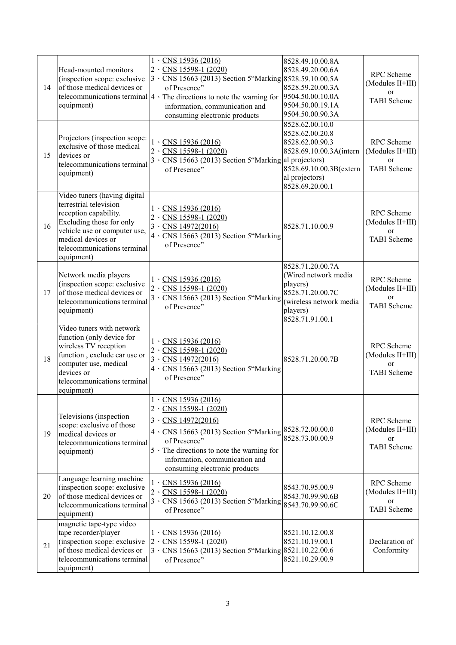| 14 | Head-mounted monitors<br>(inspection scope: exclusive<br>of those medical devices or<br>equipment)                                                                                                             | $1 \cdot$ CNS 15936 (2016)<br>$2 \cdot$<br>CNS 15598-1 (2020)<br>3 \CNS 15663 (2013) Section 5"Marking 8528.59.10.00.5A<br>of Presence"<br>telecommunications terminal $ 4 \cdot$ The directions to note the warning for<br>information, communication and<br>consuming electronic products | 8528.49.10.00.8A<br>8528.49.20.00.6A<br>8528.59.20.00.3A<br>9504.50.00.10.0A<br>9504.50.00.19.1A<br>9504.50.00.90.3A<br>8528.62.00.10.0 | RPC Scheme<br>(Modules II+III)<br>or<br><b>TABI</b> Scheme                   |
|----|----------------------------------------------------------------------------------------------------------------------------------------------------------------------------------------------------------------|---------------------------------------------------------------------------------------------------------------------------------------------------------------------------------------------------------------------------------------------------------------------------------------------|-----------------------------------------------------------------------------------------------------------------------------------------|------------------------------------------------------------------------------|
| 15 | Projectors (inspection scope:<br>exclusive of those medical<br>devices or<br>telecommunications terminal<br>equipment)                                                                                         | $1 \cdot$ CNS 15936 (2016)<br>$2 \cdot$ CNS 15598-1 (2020)<br>3 \ CNS 15663 (2013) Section 5"Marking al projectors)<br>of Presence"                                                                                                                                                         | 8528.62.00.20.8<br>8528.62.00.90.3<br>8528.69.10.00.3A(intern<br>8528.69.10.00.3B(extern<br>al projectors)<br>8528.69.20.00.1           | RPC Scheme<br>(Modules II+III)<br>or<br>TABI Scheme                          |
| 16 | Video tuners (having digital<br>terrestrial television<br>reception capability.<br>Excluding those for only<br>vehicle use or computer use,<br>medical devices or<br>telecommunications terminal<br>equipment) | $1 \cdot$ CNS 15936 (2016)<br>$2 \cdot$ CNS 15598-1 (2020)<br>$3 \cdot$ CNS 14972(2016)<br>4 \ CNS 15663 (2013) Section 5 "Marking<br>of Presence"                                                                                                                                          | 8528.71.10.00.9                                                                                                                         | <b>RPC</b> Scheme<br>(Modules II+III)<br><sub>or</sub><br><b>TABI</b> Scheme |
| 17 | Network media players<br>(inspection scope: exclusive<br>of those medical devices or<br>telecommunications terminal<br>equipment)                                                                              | $1 \cdot$ CNS 15936 (2016)<br>$2 \cdot$ CNS 15598-1 (2020)<br>3 \ CNS 15663 (2013) Section 5 "Marking<br>of Presence"                                                                                                                                                                       | 8528.71.20.00.7A<br>(Wired network media<br>players)<br>8528.71.20.00.7C<br>(wireless network media<br>players)<br>8528.71.91.00.1      | RPC Scheme<br>(Modules II+III)<br><sub>or</sub><br><b>TABI</b> Scheme        |
| 18 | Video tuners with network<br>function (only device for<br>wireless TV reception<br>function, exclude car use or<br>computer use, medical<br>devices or<br>telecommunications terminal<br>equipment)            | $1 \cdot$ CNS 15936 (2016)<br>$2 \cdot$ CNS 15598-1 (2020)<br>$3 \cdot$ CNS 14972(2016)<br>4 \ CNS 15663 (2013) Section 5"Marking<br>of Presence"                                                                                                                                           | 8528.71.20.00.7B                                                                                                                        | RPC Scheme<br>(Modules II+III)<br><sub>or</sub><br><b>TABI</b> Scheme        |
| 19 | Televisions (inspection<br>scope: exclusive of those<br>medical devices or<br>telecommunications terminal<br>equipment)                                                                                        | $\cdot$ CNS 15936 (2016)<br>$\overline{2}$<br>CNS 15598-1 (2020)<br>CNS 14972(2016)<br>$3 \cdot$<br>4 \ CNS 15663 (2013) Section 5 "Marking<br>of Presence"<br>5 \ The directions to note the warning for<br>information, communication and<br>consuming electronic products                | 8528.72.00.00.0<br>8528.73.00.00.9                                                                                                      | RPC Scheme<br>(Modules II+III)<br><sub>or</sub><br><b>TABI</b> Scheme        |
| 20 | Language learning machine<br>(inspection scope: exclusive<br>of those medical devices or<br>telecommunications terminal<br>equipment)                                                                          | $1 \cdot$ CNS 15936 (2016)<br>CNS 15598-1 (2020)<br>$2 \cdot$<br>3 \ CNS 15663 (2013) Section 5"Marking<br>of Presence"                                                                                                                                                                     | 8543.70.95.00.9<br>8543.70.99.90.6B<br>8543.70.99.90.6C                                                                                 | RPC Scheme<br>(Modules II+III)<br><sub>or</sub><br><b>TABI</b> Scheme        |
| 21 | magnetic tape-type video<br>tape recorder/player<br>(inspection scope: exclusive<br>of those medical devices or<br>telecommunications terminal<br>equipment)                                                   | $1 \cdot$ CNS 15936 (2016)<br>$2 \cdot$<br>CNS 15598-1 (2020)<br>3 \CNS 15663 (2013) Section 5"Marking 8521.10.22.00.6<br>of Presence"                                                                                                                                                      | 8521.10.12.00.8<br>8521.10.19.00.1<br>8521.10.29.00.9                                                                                   | Declaration of<br>Conformity                                                 |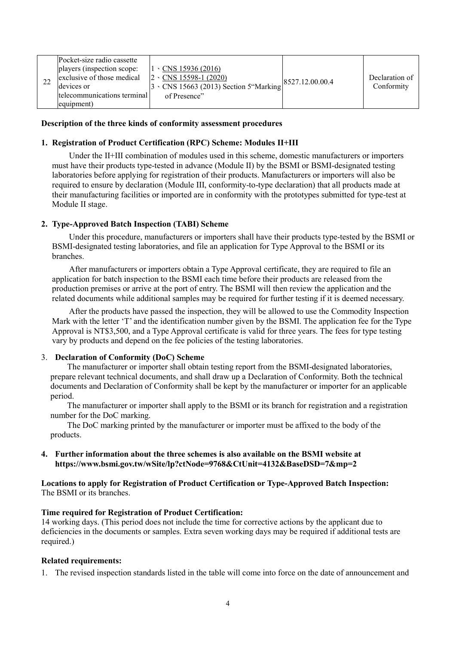|  | Pocket-size radio cassette  |                                                |                 |                              |
|--|-----------------------------|------------------------------------------------|-----------------|------------------------------|
|  | players (inspection scope:  | $ 1 \cdot$ CNS 15936 (2016)                    | 8527.12.00.00.4 | Declaration of<br>Conformity |
|  | exclusive of those medical  | $ 2 \cdot$ CNS 15598-1 (2020)                  |                 |                              |
|  | devices or                  | $ 3 \cdot$ CNS 15663 (2013) Section 5 "Marking |                 |                              |
|  | telecommunications terminal | of Presence"                                   |                 |                              |
|  | equipment)                  |                                                |                 |                              |

# Description of the three kinds of conformity assessment procedures

#### 1. Registration of Product Certification (RPC) Scheme: Modules II+III

Under the II+III combination of modules used in this scheme, domestic manufacturers or importers must have their products type-tested in advance (Module II) by the BSMI or BSMI-designated testing laboratories before applying for registration of their products. Manufacturers or importers will also be required to ensure by declaration (Module III, conformity-to-type declaration) that all products made at their manufacturing facilities or imported are in conformity with the prototypes submitted for type-test at Module II stage.

## 2. Type-Approved Batch Inspection (TABI) Scheme

Under this procedure, manufacturers or importers shall have their products type-tested by the BSMI or BSMI-designated testing laboratories, and file an application for Type Approval to the BSMI or its branches.

After manufacturers or importers obtain a Type Approval certificate, they are required to file an application for batch inspection to the BSMI each time before their products are released from the production premises or arrive at the port of entry. The BSMI will then review the application and the related documents while additional samples may be required for further testing if it is deemed necessary.

After the products have passed the inspection, they will be allowed to use the Commodity Inspection Mark with the letter 'T' and the identification number given by the BSMI. The application fee for the Type Approval is NT\$3,500, and a Type Approval certificate is valid for three years. The fees for type testing vary by products and depend on the fee policies of the testing laboratories.

## 3. Declaration of Conformity (DoC) Scheme

The manufacturer or importer shall obtain testing report from the BSMI-designated laboratories, prepare relevant technical documents, and shall draw up a Declaration of Conformity. Both the technical documents and Declaration of Conformity shall be kept by the manufacturer or importer for an applicable period.

The manufacturer or importer shall apply to the BSMI or its branch for registration and a registration number for the DoC marking.

The DoC marking printed by the manufacturer or importer must be affixed to the body of the products.

# 4. Further information about the three schemes is also available on the BSMI website at https://www.bsmi.gov.tw/wSite/lp?ctNode=9768&CtUnit=4132&BaseDSD=7&mp=2

Locations to apply for Registration of Product Certification or Type-Approved Batch Inspection: The BSMI or its branches.

#### Time required for Registration of Product Certification:

14 working days. (This period does not include the time for corrective actions by the applicant due to deficiencies in the documents or samples. Extra seven working days may be required if additional tests are required.)

#### Related requirements:

1. The revised inspection standards listed in the table will come into force on the date of announcement and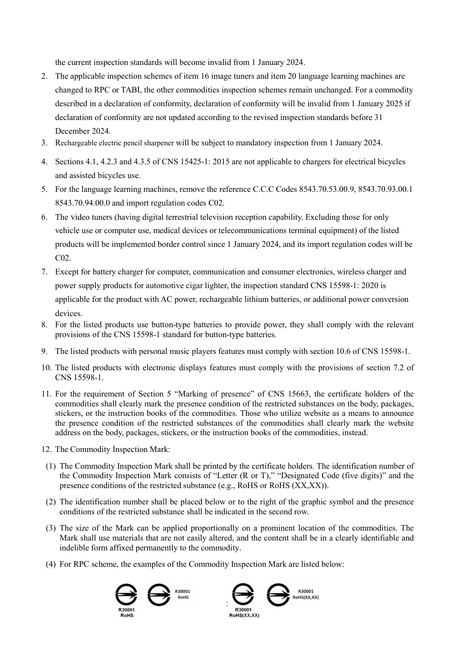the current inspection standards will become invalid from 1 January 2024.

- 2. The applicable inspection schemes of item 16 image tuners and item 20 language learning machines are changed to RPC or TABI, the other commodities inspection schemes remain unchanged. For a commodity described in a declaration of conformity, declaration of conformity will be invalid from 1 January 2025 if declaration of conformity are not updated according to the revised inspection standards before 31 December 2024.
- 3. Rechargeable electric pencil sharpener will be subject to mandatory inspection from 1 January 2024.
- 4. Sections 4.1, 4.2.3 and 4.3.5 of CNS 15425-1: 2015 are not applicable to chargers for electrical bicycles and assisted bicycles use.
- 5. For the language learning machines, remove the reference C.C.C Codes 8543.70.53.00.9, 8543.70.93.00.1 8543.70.94.00.0 and import regulation codes C02.
- 6. The video tuners (having digital terrestrial television reception capability. Excluding those for only vehicle use or computer use, medical devices or telecommunications terminal equipment) of the listed products will be implemented border control since 1 January 2024, and its import regulation codes will be  $CO<sub>2</sub>$
- 7. Except for battery charger for computer, communication and consumer electronics, wireless charger and power supply products for automotive cigar lighter, the inspection standard CNS 15598-1: 2020 is applicable for the product with AC power, rechargeable lithium batteries, or additional power conversion devices.
- 8. For the listed products use button-type batteries to provide power, they shall comply with the relevant provisions of the CNS 15598-1 standard for button-type batteries.
- 9. The listed products with personal music players features must comply with section 10.6 of CNS 15598-1.
- 10. The listed products with electronic displays features must comply with the provisions of section 7.2 of CNS 15598-1.
- 11. For the requirement of Section 5 "Marking of presence" of CNS 15663, the certificate holders of the commodities shall clearly mark the presence condition of the restricted substances on the body, packages, stickers, or the instruction books of the commodities. Those who utilize website as a means to announce the presence condition of the restricted substances of the commodities shall clearly mark the website address on the body, packages, stickers, or the instruction books of the commodities, instead.
- 12. The Commodity Inspection Mark:
- (1) The Commodity Inspection Mark shall be printed by the certificate holders. The identification number of the Commodity Inspection Mark consists of "Letter (R or T)," "Designated Code (five digits)" and the presence conditions of the restricted substance (e.g., RoHS or RoHS (XX,XX)).
- (2) The identification number shall be placed below or to the right of the graphic symbol and the presence conditions of the restricted substance shall be indicated in the second row.
- (3) The size of the Mark can be applied proportionally on a prominent location of the commodities. The Mark shall use materials that are not easily altered, and the content shall be in a clearly identifiable and indelible form affixed permanently to the commodity.
- (4) For RPC scheme, the examples of the Commodity Inspection Mark are listed below:



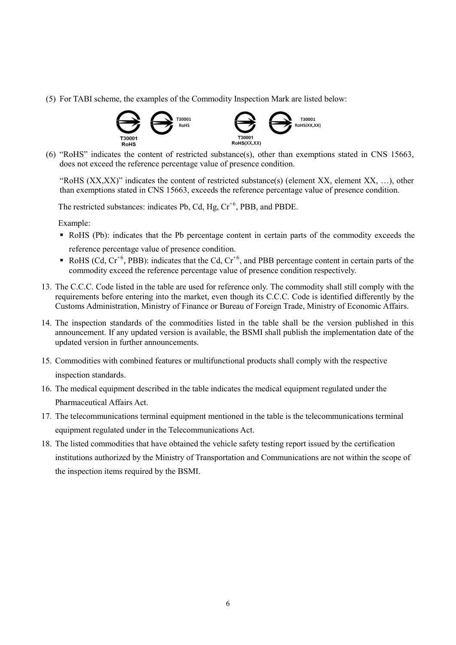(5) For TABI scheme, the examples of the Commodity Inspection Mark are listed below:



(6) "RoHS" indicates the content of restricted substance(s), other than exemptions stated in CNS 15663, does not exceed the reference percentage value of presence condition.

"RoHS  $(XX,XX)$ " indicates the content of restricted substance(s) (element XX, element XX, ...), other than exemptions stated in CNS 15663, exceeds the reference percentage value of presence condition.

The restricted substances: indicates Pb, Cd, Hg,  $Cr^{+6}$ , PBB, and PBDE.

Example:

- RoHS (Pb): indicates that the Pb percentage content in certain parts of the commodity exceeds the reference percentage value of presence condition.
- RoHS (Cd,  $Cr^{+6}$ , PBB): indicates that the Cd,  $Cr^{+6}$ , and PBB percentage content in certain parts of the commodity exceed the reference percentage value of presence condition respectively.
- 13. The C.C.C. Code listed in the table are used for reference only. The commodity shall still comply with the requirements before entering into the market, even though its C.C.C. Code is identified differently by the Customs Administration, Ministry of Finance or Bureau of Foreign Trade, Ministry of Economic Affairs.
- 14. The inspection standards of the commodities listed in the table shall be the version published in this announcement. If any updated version is available, the BSMI shall publish the implementation date of the updated version in further announcements.
- 15. Commodities with combined features or multifunctional products shall comply with the respective inspection standards.
- 16. The medical equipment described in the table indicates the medical equipment regulated under the Pharmaceutical Affairs Act.
- 17. The telecommunications terminal equipment mentioned in the table is the telecommunications terminal equipment regulated under in the Telecommunications Act.
- 18. The listed commodities that have obtained the vehicle safety testing report issued by the certification institutions authorized by the Ministry of Transportation and Communications are not within the scope of the inspection items required by the BSMI.